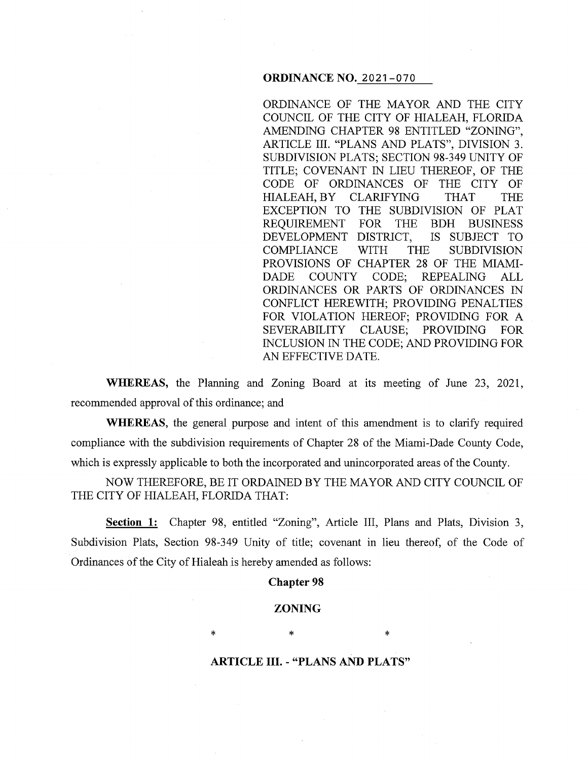#### **ORDINANCE NO.** 2021-070

ORDINANCE OF THE MAYOR AND THE CITY COUNCIL OF THE CITY OF HIALEAH, FLORIDA AMENDING CHAPTER 98 ENTITLED "ZONING", ARTICLE III. "PLANS AND PLATS", DIVISION 3. SUBDIVISION PLATS; SECTION 98-349 UNITY OF TITLE; COVENANT IN LIEU THEREOF, OF THE CODE OF ORDINANCES OF THE CITY OF HIALEAH, BY CLARIFYING THAT THE EXCEPTION TO THE SUBDIVISION OF PLAT REQUIREMENT FOR THE BDH BUSINESS DEVELOPMENT DISTRICT, IS SUBJECT TO COMPLIANCE WITH THE SUBDIVISION PROVISIONS OF CHAPTER 28 OF THE MIAMI-DADE COUNTY CODE; REPEALING ALL ORDINANCES OR PARTS OF ORDINANCES IN CONFLICT HEREWITH; PROVIDING PENALTIES FOR VIOLATION HEREOF; PROVIDING FOR A SEVERABILITY CLAUSE; PROVIDING FOR INCLUSION IN THE CODE; AND PROVIDING FOR AN EFFECTIVE DATE.

**WHEREAS,** the Planning and Zoning Board at its meeting of June 23, 2021, recommended approval of this ordinance; and

**WHEREAS,** the general purpose and intent of this amendment is to clarify required compliance with the subdivision requirements of Chapter 28 of the Miami-Dade County Code, which is expressly applicable to both the incorporated and unincorporated areas of the County.

NOW THEREFORE, BE IT ORDAINED BY THE MAYOR AND CITY COUNCIL OF THE CITY OF HIALEAH, FLORIDA THAT:

Section 1: Chapter 98, entitled "Zoning", Article III, Plans and Plats, Division 3, Subdivision Plats, Section 98-349 Unity of title; covenant in lieu thereof, of the Code of Ordinances of the City of Hialeah is hereby amended as follows:

#### **Chapter 98**

#### **ZONING**

\* \* \*

### **ARTICLE** III. - **"PLANS AND PLATS"**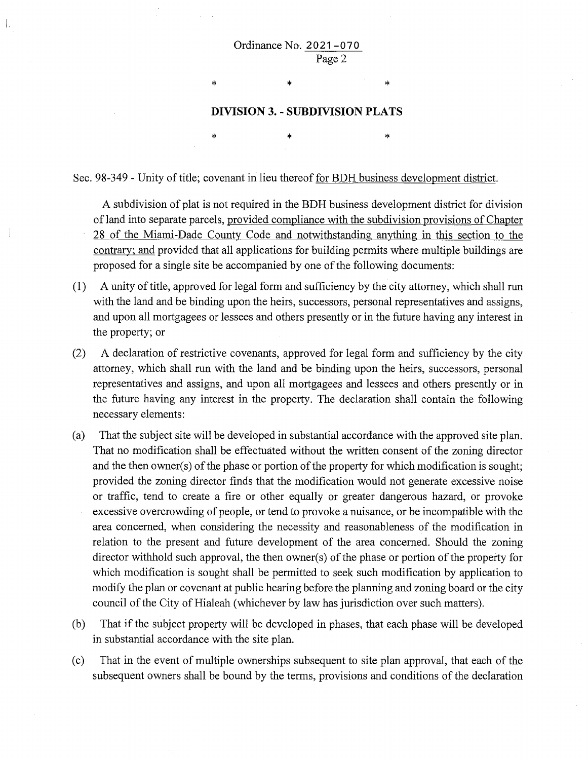## Ordinance No. 2021-070 Page 2

I.

## **DIVISION** 3. - **SUBDIVISION PLATS**

 $\begin{matrix} * & * \end{matrix}$ 

\* \*

Sec. 98-349 - Unity of title; covenant in lieu thereof for BDH business development district.

\*

A subdivision of plat is not required in the BDH business development district for division of land into separate parcels, provided compliance with the subdivision provisions of Chapter 28 of the Miami-Dade County Code and notwithstanding anything in this section to the contrary; and provided that all applications for building permits where multiple buildings are proposed for a single site be accompanied by one of the following documents:

- (1) A unity of title, approved for legal form and sufficiency by the city attorney, which shall run with the land and be binding upon the heirs, successors, personal representatives and assigns, and upon all mortgagees or lessees and others presently or in the future having any interest in the property; or
- (2) A declaration of restrictive covenants, approved for legal form and sufficiency by the city attorney, which shall run with the land and be binding upon the heirs, successors, personal representatives and assigns, and upon all mortgagees and lessees and others presently or in the future having any interest in the property. The declaration shall contain the following necessary elements:
- (a) That the subject site will be developed in substantial accordance with the approved site plan. That no modification shall be effectuated without the written consent of the zoning director and the then owner(s) of the phase or portion of the property for which modification is sought; provided the zoning director finds that the modification would not generate excessive noise or traffic, tend to create a fire or other equally or greater dangerous hazard, or provoke excessive overcrowding of people, or tend to provoke a nuisance, or be incompatible with the area concerned, when considering the necessity and reasonableness of the modification in relation to the present and future development of the area concerned. Should the zoning director withhold such approval, the then owner(s) of the phase or portion of the property for which modification is sought shall be permitted to seek such modification by application to modify the plan or covenant at public hearing before the planning and zoning board or the city council of the City of Hialeah (whichever by law has jurisdiction over such matters).
- (b) That if the subject property will be developed in phases, that each phase will be developed in substantial accordance with the site plan.
- ( c) That in the event of multiple ownerships subsequent to site plan approval, that each of the subsequent owners shall be bound by the terms, provisions and conditions of the declaration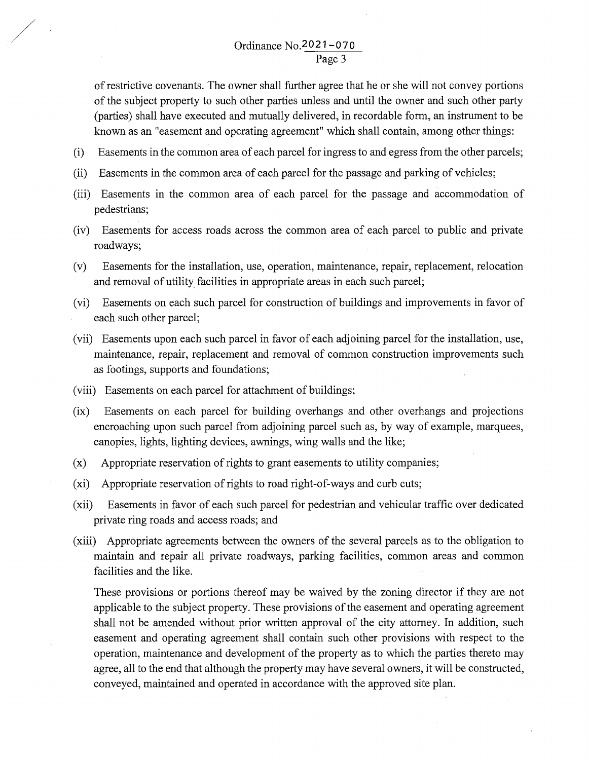of restrictive covenants. The owner shall further agree that he or she will not convey portions of the subject property to such other parties unless and until the owner and such other party (parties) shall have executed and mutually delivered, in recordable form, an instrument to be known as an "easement and operating agreement" which shall contain, among other things:

- (i) Easements in the common area of each parcel for ingress to and egress from the other parcels;
- (ii) Easements in the common area of each parcel for the passage and parking of vehicles;
- (iii) Easements in the common area of each parcel for the passage and accommodation of pedestrians;
- (iv) Easements for access roads across the common area of each parcel to public and private roadways;
- (v) Easements for the installation, use, operation, maintenance, repair, replacement, relocation and removal of utility facilities in appropriate areas in each such parcel;
- (vi) Easements on each such parcel for construction of buildings and improvements in favor of each such other parcel;
- (vii) Easements upon each such parcel in favor of each adjoining parcel for the installation, use, maintenance, repair, replacement and removal of common construction improvements such as footings, supports and foundations;
- (viii) Easements on each parcel for attachment of buildings;
- (ix) Easements on each parcel for building overhangs and other overhangs and projections encroaching upon such parcel from adjoining parcel such as, by way of example, marquees, canopies, lights, lighting devices, awnings, wing walls and the like;
- (x) Appropriate reservation of rights to grant easements to utility companies;
- (xi) Appropriate reservation of rights to road right-of-ways and curb cuts;
- (xii) Easements in favor of each such parcel for pedestrian and vehicular traffic over dedicated private ring roads and access roads; and
- (xiii) Appropriate agreements between the owners of the several parcels as to the obligation to maintain and repair all private roadways, parking facilities, common areas and common facilities and the like.

These provisions or portions thereof may be waived by the zoning director if they are not applicable to the subject property. These provisions of the easement and operating agreement shall not be amended without prior written approval of the city attorney. In addition, such easement and operating agreement shall contain such other provisions with respect to the operation, maintenance and development of the property as to which the parties thereto may agree, all to the end that although the property may have several owners, it will be constructed, conveyed, maintained and operated in accordance with the approved site plan.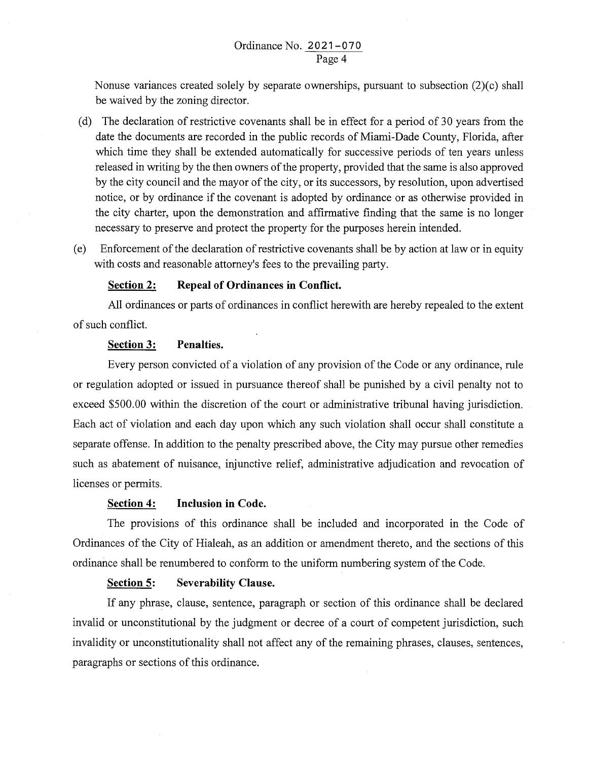Nonuse variances created solely by separate ownerships, pursuant to subsection (2)(c) shall be waived by the zoning director.

- ( d) The declaration of restrictive covenants shall be in effect for a period of 30 years from the date the documents are recorded in the public records of Miami-Dade County, Florida, after which time they shall be extended automatically for successive periods of ten years unless released in writing by the then owners of the property, provided that the same is also approved by the city council and the mayor of the city, or its successors, by resolution, upon advertised notice, or by ordinance if the covenant is adopted by ordinance or as otherwise provided in the city charter, upon the demonstration and affirmative finding that the same is no longer necessary to preserve and protect the property for the purposes herein intended.
- ( e) Enforcement of the declaration of restrictive covenants shall be by action at law or in equity with costs and reasonable attorney's fees to the prevailing party.

# **Section 2: Repeal of Ordinances in Conflict.**

All ordinances or parts of ordinances in conflict herewith are hereby repealed to the extent of such conflict.

# **Section 3: Penalties.**

Every person convicted of a violation of any provision of the Code or any ordinance, rule or regulation adopted or issued in pursuance thereof shall be punished by a civil penalty not to exceed \$500.00 within the discretion of the court or administrative tribunal having jurisdiction. Each act of violation and each day upon which any such violation shall occur shall constitute a separate offense. In addition to the penalty prescribed above, the City may pursue other remedies such as abatement of nuisance, injunctive relief, administrative adjudication and revocation of licenses or permits.

# **Section 4: Inclusion in Code.**

The provisions of this ordinance shall be included and incorporated in the Code of Ordinances of the City of Hialeah, as an addition or amendment thereto, and the sections of this ordinance shall be renumbered to conform to the uniform numbering system of the Code.

# **Section 5: Severability Clause.**

If any phrase, clause, sentence, paragraph or section of this ordinance shall be declared invalid or unconstitutional by the judgment or decree of a court of competent jurisdiction, such invalidity or unconstitutionality shall not affect any of the remaining phrases, clauses, sentences, paragraphs or sections of this ordinance.